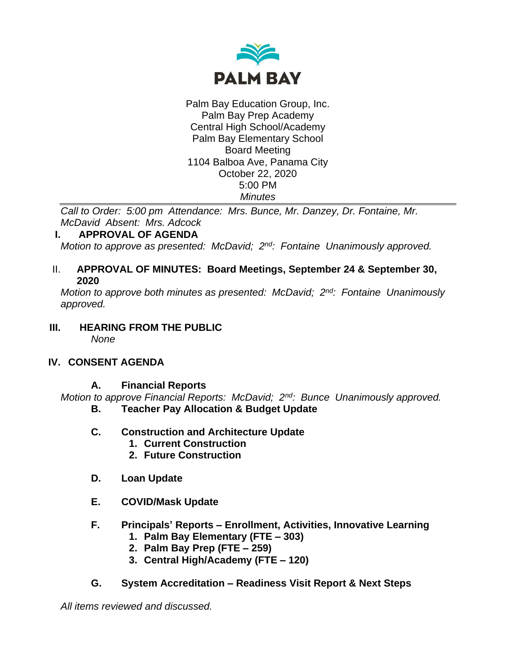

Palm Bay Education Group, Inc. Palm Bay Prep Academy Central High School/Academy Palm Bay Elementary School Board Meeting 1104 Balboa Ave, Panama City October 22, 2020 5:00 PM *Minutes*

*Call to Order: 5:00 pm Attendance: Mrs. Bunce, Mr. Danzey, Dr. Fontaine, Mr. McDavid Absent: Mrs. Adcock*

## **I. APPROVAL OF AGENDA**

*Motion to approve as presented: McDavid; 2nd: Fontaine Unanimously approved.*

#### II. **APPROVAL OF MINUTES: Board Meetings, September 24 & September 30, 2020**

*Motion to approve both minutes as presented: McDavid; 2nd: Fontaine Unanimously approved.*

**III. HEARING FROM THE PUBLIC** *None*

#### **IV. CONSENT AGENDA**

## **A. Financial Reports**

*Motion to approve Financial Reports: McDavid; 2nd: Bunce Unanimously approved.*

- **B. Teacher Pay Allocation & Budget Update**
- **C. Construction and Architecture Update**
	- **1. Current Construction**
	- **2. Future Construction**
- **D. Loan Update**
- **E. COVID/Mask Update**
- **F. Principals' Reports – Enrollment, Activities, Innovative Learning**
	- **1. Palm Bay Elementary (FTE – 303)**
	- **2. Palm Bay Prep (FTE – 259)**
	- **3. Central High/Academy (FTE – 120)**

## **G. System Accreditation – Readiness Visit Report & Next Steps**

*All items reviewed and discussed.*